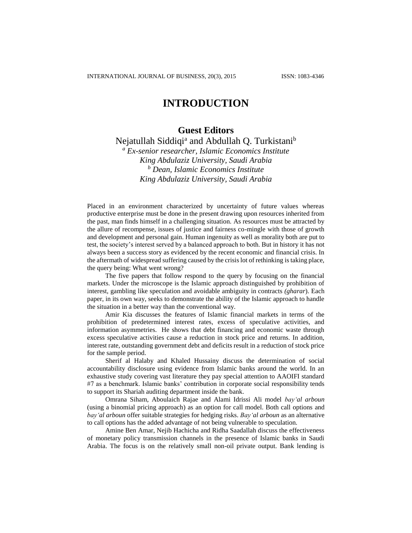## **INTRODUCTION**

## **Guest Editors**

Nejatullah Siddiqi<sup>a</sup> and Abdullah Q. Turkistani<sup>b</sup>

*<sup>a</sup> Ex-senior researcher, Islamic Economics Institute King Abdulaziz University, Saudi Arabia <sup>b</sup> Dean, Islamic Economics Institute King Abdulaziz University, Saudi Arabia*

Placed in an environment characterized by uncertainty of future values whereas productive enterprise must be done in the present drawing upon resources inherited from the past, man finds himself in a challenging situation. As resources must be attracted by the allure of recompense, issues of justice and fairness co-mingle with those of growth and development and personal gain. Human ingenuity as well as morality both are put to test, the society's interest served by a balanced approach to both. But in history it has not always been a success story as evidenced by the recent economic and financial crisis. In the aftermath of widespread suffering caused by the crisis lot of rethinking is taking place, the query being: What went wrong?

The five papers that follow respond to the query by focusing on the financial markets. Under the microscope is the Islamic approach distinguished by prohibition of interest, gambling like speculation and avoidable ambiguity in contracts *(gharar*). Each paper, in its own way, seeks to demonstrate the ability of the Islamic approach to handle the situation in a better way than the conventional way.

Amir Kia discusses the features of Islamic financial markets in terms of the prohibition of predetermined interest rates, excess of speculative activities, and information asymmetries. He shows that debt financing and economic waste through excess speculative activities cause a reduction in stock price and returns. In addition, interest rate, outstanding government debt and deficits result in a reduction of stock price for the sample period.

Sherif al Halaby and Khaled Hussainy discuss the determination of social accountability disclosure using evidence from Islamic banks around the world. In an exhaustive study covering vast literature they pay special attention to AAOIFI standard #7 as a benchmark. Islamic banks' contribution in corporate social responsibility tends to support its Shariah auditing department inside the bank.

Omrana Siham, Aboulaich Rajae and Alami Idrissi Ali model *bay'al arboun* (using a binomial pricing approach) as an option for call model. Both call options and *bay'al arboun* offer suitable strategies for hedging risks. *Bay'al arboun* as an alternative to call options has the added advantage of not being vulnerable to speculation.

Amine Ben Amar, Nejib Hachicha and Ridha Saadallah discuss the effectiveness of monetary policy transmission channels in the presence of Islamic banks in Saudi Arabia. The focus is on the relatively small non-oil private output. Bank lending is